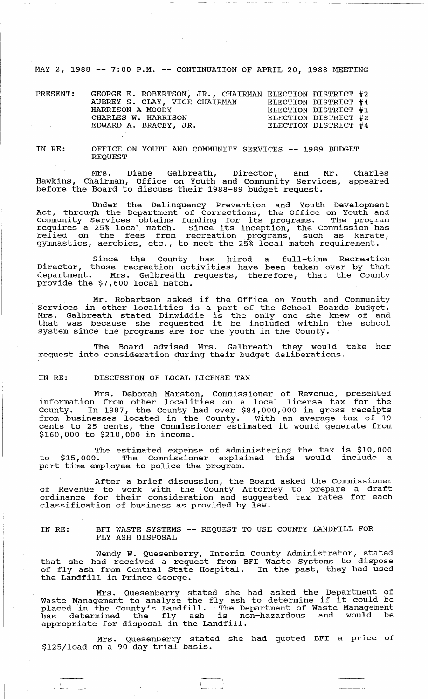MAY 2, 1988 **--** 7:00 P.M. **--** CONTINUATION OF APRIL 20, 1988 MEETING

| PRESENT: | GEORGE E. ROBERTSON, JR., CHAIRMAN ELECTION DISTRICT #2 |  |                      |  |
|----------|---------------------------------------------------------|--|----------------------|--|
|          | AUBREY S. CLAY, VICE CHAIRMAN                           |  | ELECTION DISTRICT #4 |  |
|          | HARRISON A MOODY                                        |  | ELECTION DISTRICT #1 |  |
|          | CHARLES W. HARRISON                                     |  | ELECTION DISTRICT #2 |  |
|          | EDWARD A. BRACEY, JR.                                   |  | ELECTION DISTRICT #4 |  |

IN RE:

OFFICE ON YOUTH AND COMMUNITY SERVICES **--** 1989 BUDGET REQUEST

Mrs. Diane Galbreath, Director, and Mr. Hawkins, Chairman, Office on Youth and Community Services, before the Board to discuss their 1988-89 budget request. Charles appeared

Under the Delinquency Prevention and Youth Development Act, through the Department of Corrections, the Office on Youth and Community Services obtains funding for its programs. The program requires a 25% local match. Since its inception, the Commission has relied on the fees from recreation programs, such as karate, gymnastics, aerobics, etc., to meet the 25% local match requirement.

Since the county has hired a full-time Recreation Director, those recreation activities have been taken over by that department. Mrs. Galbreath requests, therefore, that the County provide the \$7,600 local match.

Mr. Robertson asked if the Office on youth and community Services in other localities is a part of the School Boards budget. Mrs. Galbreath stated Dinwiddie is the only one she knew of and mrs. Gaibreath stated Dinwiddie is the only one she knew or and<br>that was because she requested it be included within the school system since the programs are for the youth in the County.

The Board advised Mrs. Galbreath they would take her request into consideration during their budget deliberations.

## IN RE: DISCUSSION OF LOCAL LICENSE TAX

Mrs. Deborah Marston, Commissioner of Revenue, presented information from other localities on a local license tax for the County. In 1987, the County had over \$84,000,000 in gross receipts from businesses located in the County . With an average tax of 19 cents to 25 cents, the Commissioner estimated it would generate from \$160,000 to \$210,000 in income.

The estimated expense of administering the tax is \$10,000 to \$15,000. The Commissioner explained this would include a to \$15,000. The Commissioner expla:<br>part-time employee to police the program.

After a brief discussion, the Board asked the commissioner of Revenue to work with the County Attorney to prepare a draft ordinance for their consideration and suggested tax rates for each classification of business as provided by law.

IN RE: BFI WASTE SYSTEMS **--** REQUEST TO USE COUNTY LANDFILL FOR FLY ASH DISPOSAL

Wendy W. Quesenberry, Interim county Administrator, stated that she had received a request from BFI Waste Systems to dispose of fly ash from Central State Hospital. In the past, they had used the Landfill in Prince George.

Mrs. Quesenberry stated she had asked the Department of Waste Management to analyze the fly ash to determine if it could be waste hanagement to analyze the liy ash to determine if it could be piaced in the county's Landiffic. The Department of waste Handgement<br>has determined the fly ash is non-hazardous and would be appropriate for disposal in the Landfill.

Mrs. Quesenberry stated she had quoted BFI a price of mrs. Quesemberry state<br>\$125/load on a 90 day trial basis.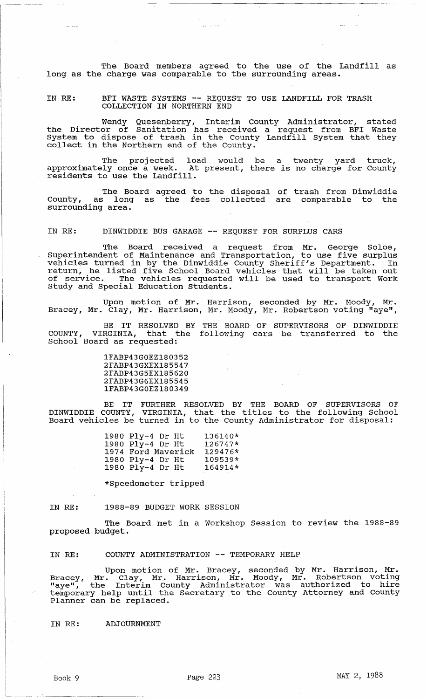The Board members agreed to the use of the Landfill as long as the charge was comparable to the surrounding areas.

IN RE: BFI WASTE SYSTEMS -- REQUEST TO USE LANDFILL FOR TRASH COLLECTION IN NORTHERN END

Wendy Quesenberry, Interim County Administrator, stated the Director of Sanitation has received a request from BFI Waste System to dispose of trash in the County Landfill System that they system to dispert of trush in the county.

The projected load would be a twenty yard truck, approximately once a week. At present, there is no charge for County residents to use the Landfill.

The Board agreed to the disposal of trash from Dinwiddie county, as long as the fees collected are comparable to the County, as long<br>surrounding area.

IN RE: DINWIDDIE BUS GARAGE -- REQUEST FOR SURPLUS CARS

The BOard received a request from Mr. George Soloe, Superintendent of Maintenance and Transportation, to use five surplus vehicles turned in by the Dinwiddie County Sheriff's Department. In return, he listed five School Board vehicles that will be taken out of service. The vehicles requested will be used to transport Work Study and special Education Students.

Upon motion of Mr. Harrison, seconded by Mr. Moody, Mr. Bracey, Mr. Clay, Mr. Harrison, Mr. Moody, Mr. Robertson voting "aye",

BE IT RESOLVED BY THE BOARD OF SUPERVISORS OF DINWIDDIE VIRGINIA, that the following cars be transferred to the COUNTY, VIRGINIA, that t<br>School Board as requested:

> 1FABP43GOEZ180352 2FABP43GXEX185547 2FABP43G5EX185620 2FABP43G6EX185545 1FABP43GOEZ180349

BE IT FURTHER RESOLVED BY THE BOARD OF SUPERVISORS OF DINWIDDIE COUNTY, VIRGINIA, that the titles to the following School Board vehicles be turned in to the County Administrator for disposal:

| 1980 Ply-4 Dr Ht   | 136140* |
|--------------------|---------|
| 1980 Ply-4 Dr Ht   | 126747* |
| 1974 Ford Maverick | 129476* |
| 1980 Ply-4 Dr Ht   | 109539* |
| 1980 Ply-4 Dr Ht   | 164914* |

\*Speedometer tripped

IN RE: 1988-89 BUDGET WORK SESSION

The Board met in a Workshop Session to review the 1988-89 proposed budget.

IN RE: COUNTY ADMINISTRATION -- TEMPORARY HELP

Upon motion of Mr. Bracey, seconded by Mr. Harrison, Mr. Bracey, Mr. Clay, Mr. Harrison, Mr. Moody, Mr. Robertson voting bracey, H. Cray, H. Harrison, H. Hoody, H. Koscresson veering<br>"aye", the Interim County Administrator was authorized to hire aye, the interim county Administrator was additioned to hire Planner can be replaced.

IN RE: ADJOURNMENT

 $\mathbf{r} = \mathbf{r}$